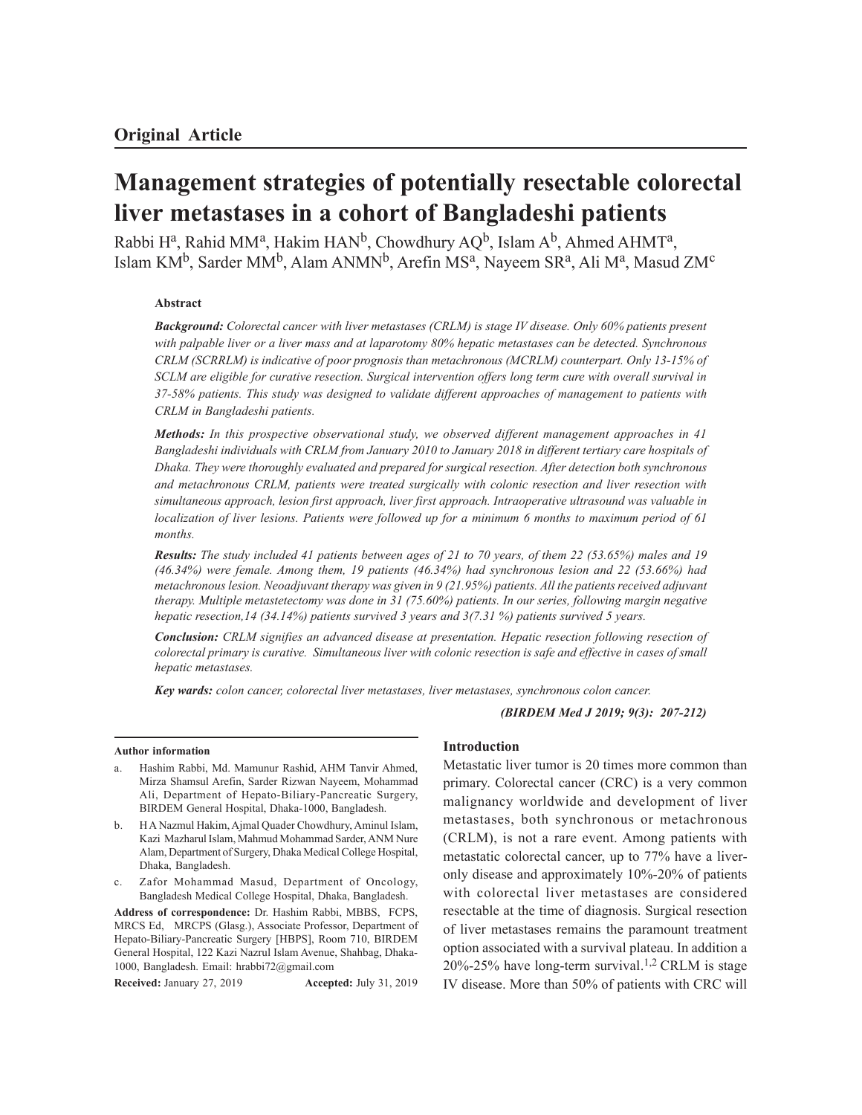# **Management strategies of potentially resectable colorectal liver metastases in a cohort of Bangladeshi patients**

Rabbi Hª, Rahid MMª, Hakim HAN<sup>b</sup>, Chowdhury AQ<sup>b</sup>, Islam A<sup>b</sup>, Ahmed AHMTª, Islam KM<sup>b</sup>, Sarder MM<sup>b</sup>, Alam ANMN<sup>b</sup>, Arefin MS<sup>a</sup>, Nayeem SR<sup>a</sup>, Ali M<sup>a</sup>, Masud ZM<sup>c</sup>

# **Abstract**

*Background: Colorectal cancer with liver metastases (CRLM) is stage IV disease. Only 60% patients present with palpable liver or a liver mass and at laparotomy 80% hepatic metastases can be detected. Synchronous CRLM (SCRRLM) is indicative of poor prognosis than metachronous (MCRLM) counterpart. Only 13-15% of SCLM are eligible for curative resection. Surgical intervention offers long term cure with overall survival in 37-58% patients. This study was designed to validate different approaches of management to patients with CRLM in Bangladeshi patients.*

*Methods: In this prospective observational study, we observed different management approaches in 41 Bangladeshi individuals with CRLM from January 2010 to January 2018 in different tertiary care hospitals of Dhaka. They were thoroughly evaluated and prepared for surgical resection. After detection both synchronous and metachronous CRLM, patients were treated surgically with colonic resection and liver resection with simultaneous approach, lesion first approach, liver first approach. Intraoperative ultrasound was valuable in localization of liver lesions. Patients were followed up for a minimum 6 months to maximum period of 61 months.*

*Results: The study included 41 patients between ages of 21 to 70 years, of them 22 (53.65%) males and 19 (46.34%) were female. Among them, 19 patients (46.34%) had synchronous lesion and 22 (53.66%) had metachronous lesion. Neoadjuvant therapy was given in 9 (21.95%) patients. All the patients received adjuvant therapy. Multiple metastetectomy was done in 31 (75.60%) patients. In our series, following margin negative hepatic resection,14 (34.14%) patients survived 3 years and 3(7.31 %) patients survived 5 years.*

*Conclusion: CRLM signifies an advanced disease at presentation. Hepatic resection following resection of colorectal primary is curative. Simultaneous liver with colonic resection is safe and effective in cases of small hepatic metastases.*

*Key wards: colon cancer, colorectal liver metastases, liver metastases, synchronous colon cancer.*

*(BIRDEM Med J 2019; 9(3): 207-212)*

#### **Author information**

- Hashim Rabbi, Md. Mamunur Rashid, AHM Tanvir Ahmed, Mirza Shamsul Arefin, Sarder Rizwan Nayeem, Mohammad Ali, Department of Hepato-Biliary-Pancreatic Surgery, BIRDEM General Hospital, Dhaka-1000, Bangladesh.
- b. H A Nazmul Hakim, Ajmal Quader Chowdhury, Aminul Islam, Kazi Mazharul Islam, Mahmud Mohammad Sarder, ANM Nure Alam, Department of Surgery, Dhaka Medical College Hospital, Dhaka, Bangladesh.
- Zafor Mohammad Masud, Department of Oncology, Bangladesh Medical College Hospital, Dhaka, Bangladesh.

**Address of correspondence:** Dr. Hashim Rabbi, MBBS, FCPS, MRCS Ed, MRCPS (Glasg.), Associate Professor, Department of Hepato-Biliary-Pancreatic Surgery [HBPS], Room 710, BIRDEM General Hospital, 122 Kazi Nazrul Islam Avenue, Shahbag, Dhaka-1000, Bangladesh. Email: hrabbi72@gmail.com

**Received:** January 27, 2019 **Accepted:** July 31, 2019

#### **Introduction**

Metastatic liver tumor is 20 times more common than primary. Colorectal cancer (CRC) is a very common malignancy worldwide and development of liver metastases, both synchronous or metachronous (CRLM), is not a rare event. Among patients with metastatic colorectal cancer, up to 77% have a liveronly disease and approximately 10%-20% of patients with colorectal liver metastases are considered resectable at the time of diagnosis. Surgical resection of liver metastases remains the paramount treatment option associated with a survival plateau. In addition a 20%-25% have long-term survival. 1,2 CRLM is stage IV disease. More than 50% of patients with CRC will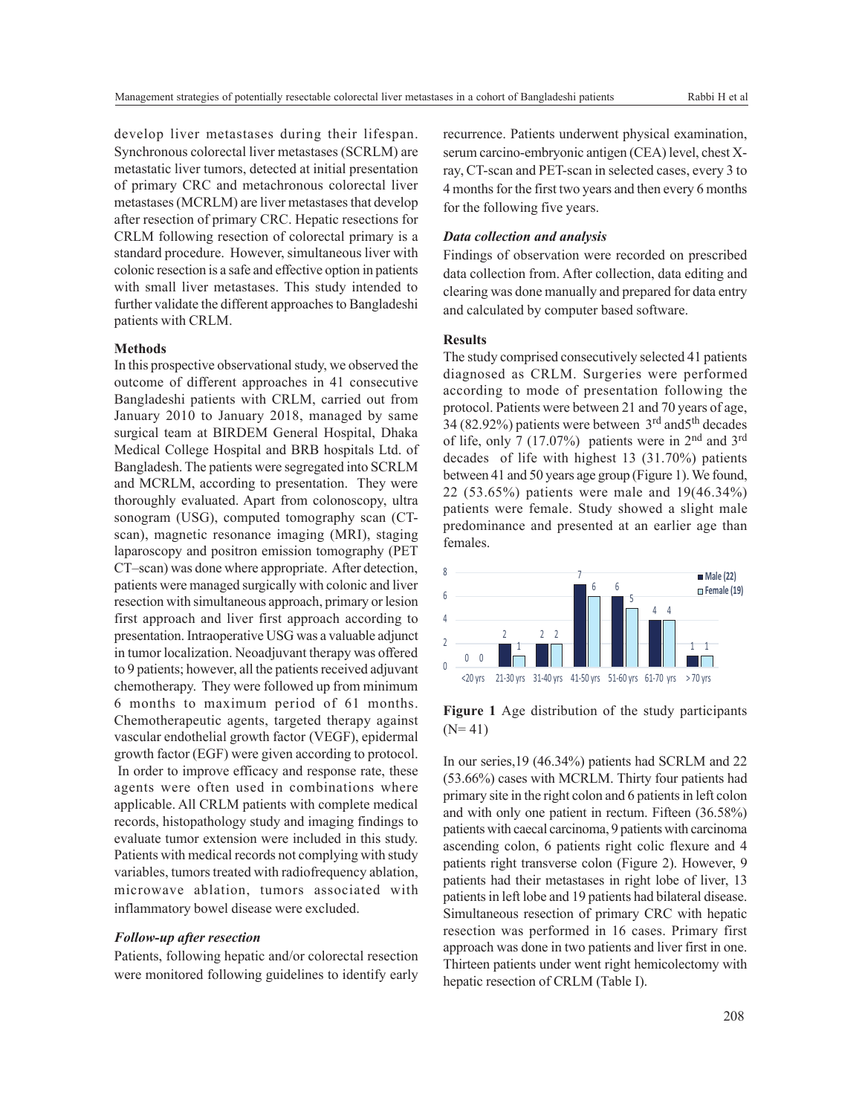develop liver metastases during their lifespan. Synchronous colorectal liver metastases (SCRLM) are metastatic liver tumors, detected at initial presentation of primary CRC and metachronous colorectal liver metastases (MCRLM) are liver metastases that develop after resection of primary CRC. Hepatic resections for CRLM following resection of colorectal primary is a standard procedure. However, simultaneous liver with colonic resection is a safe and effective option in patients with small liver metastases. This study intended to further validate the different approaches to Bangladeshi patients with CRLM.

#### **Methods**

In this prospective observational study, we observed the outcome of different approaches in 41 consecutive Bangladeshi patients with CRLM, carried out from January 2010 to January 2018, managed by same surgical team at BIRDEM General Hospital, Dhaka Medical College Hospital and BRB hospitals Ltd. of Bangladesh. The patients were segregated into SCRLM and MCRLM, according to presentation. They were thoroughly evaluated. Apart from colonoscopy, ultra sonogram (USG), computed tomography scan (CTscan), magnetic resonance imaging (MRI), staging laparoscopy and positron emission tomography (PET CT–scan) was done where appropriate. After detection, patients were managed surgically with colonic and liver resection with simultaneous approach, primary or lesion first approach and liver first approach according to presentation. Intraoperative USG was a valuable adjunct in tumor localization. Neoadjuvant therapy was offered to 9 patients; however, all the patients received adjuvant chemotherapy. They were followed up from minimum 6 months to maximum period of 61 months. Chemotherapeutic agents, targeted therapy against vascular endothelial growth factor (VEGF), epidermal growth factor (EGF) were given according to protocol. In order to improve efficacy and response rate, these agents were often used in combinations where applicable. All CRLM patients with complete medical records, histopathology study and imaging findings to evaluate tumor extension were included in this study. Patients with medical records not complying with study variables, tumors treated with radiofrequency ablation, microwave ablation, tumors associated with inflammatory bowel disease were excluded.

## *Follow-up after resection*

Patients, following hepatic and/or colorectal resection were monitored following guidelines to identify early recurrence. Patients underwent physical examination, serum carcino-embryonic antigen (CEA) level, chest Xray, CT-scan and PET-scan in selected cases, every 3 to 4 months for the first two years and then every 6 months for the following five years.

## *Data collection and analysis*

Findings of observation were recorded on prescribed data collection from. After collection, data editing and clearing was done manually and prepared for data entry and calculated by computer based software.

# **Results**

The study comprised consecutively selected 41 patients diagnosed as CRLM. Surgeries were performed according to mode of presentation following the protocol. Patients were between 21 and 70 years of age, 34 (82.92%) patients were between 3rd and5th decades of life, only 7 (17.07%) patients were in 2nd and 3rd decades of life with highest 13 (31.70%) patients between 41 and 50 years age group (Figure 1). We found, 22 (53.65%) patients were male and 19(46.34%) patients were female. Study showed a slight male predominance and presented at an earlier age than females.



**Figure 1** Age distribution of the study participants  $(N= 41)$ 

In our series,19 (46.34%) patients had SCRLM and 22 (53.66%) cases with MCRLM. Thirty four patients had primary site in the right colon and 6 patients in left colon and with only one patient in rectum. Fifteen (36.58%) patients with caecal carcinoma, 9 patients with carcinoma ascending colon, 6 patients right colic flexure and 4 patients right transverse colon (Figure 2). However, 9 patients had their metastases in right lobe of liver, 13 patients in left lobe and 19 patients had bilateral disease. Simultaneous resection of primary CRC with hepatic resection was performed in 16 cases. Primary first approach was done in two patients and liver first in one. Thirteen patients under went right hemicolectomy with hepatic resection of CRLM (Table I).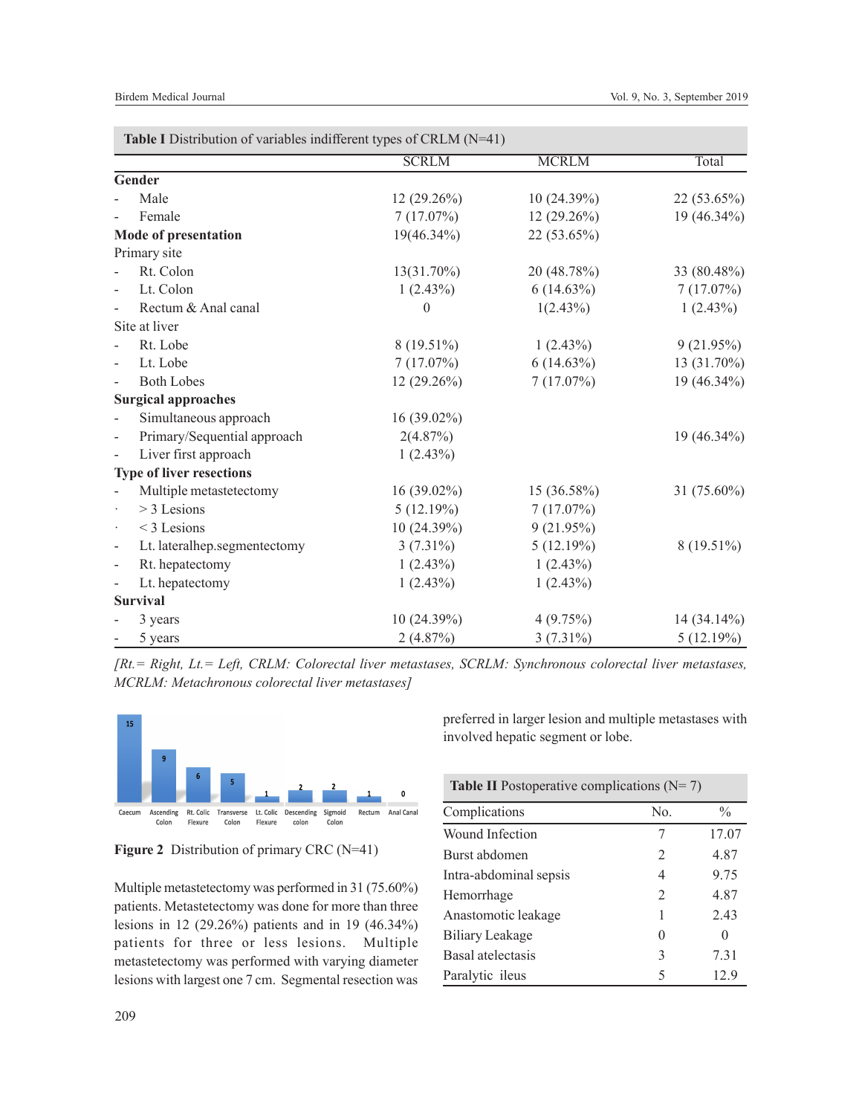|                              |                                 | <b>SCRLM</b>  | <b>MCRLM</b>  | Total         |
|------------------------------|---------------------------------|---------------|---------------|---------------|
|                              | Gender                          |               |               |               |
|                              | Male                            | 12 (29.26%)   | 10 (24.39%)   | 22 (53.65%)   |
|                              | Female                          | 7(17.07%)     | $12(29.26\%)$ | 19 (46.34%)   |
|                              |                                 |               |               |               |
|                              | <b>Mode of presentation</b>     | 19(46.34%)    | 22 (53.65%)   |               |
|                              | Primary site                    |               |               |               |
|                              | Rt. Colon                       | $13(31.70\%)$ | 20 (48.78%)   | 33 (80.48%)   |
|                              | Lt. Colon                       | 1(2.43%)      | $6(14.63\%)$  | 7(17.07%)     |
|                              | Rectum & Anal canal             | 0             | 1(2.43%)      | 1(2.43%)      |
|                              | Site at liver                   |               |               |               |
|                              | Rt. Lobe                        | 8 (19.51%)    | 1(2.43%)      | 9(21.95%)     |
| ÷,                           | Lt. Lobe                        | 7(17.07%)     | $6(14.63\%)$  | 13 (31.70%)   |
| $\overline{a}$               | <b>Both Lobes</b>               | 12 (29.26%)   | 7(17.07%)     | 19 (46.34%)   |
|                              | <b>Surgical approaches</b>      |               |               |               |
|                              | Simultaneous approach           | 16 (39.02%)   |               |               |
| $\overline{\phantom{0}}$     | Primary/Sequential approach     | 2(4.87%)      |               | 19 (46.34%)   |
|                              | Liver first approach            | $1(2.43\%)$   |               |               |
|                              | <b>Type of liver resections</b> |               |               |               |
|                              | Multiple metastetectomy         | 16 (39.02%)   | 15 (36.58%)   | 31 (75.60%)   |
|                              | $>$ 3 Lesions                   | 5(12.19%)     | 7(17.07%)     |               |
| $\cdot$                      | $<$ 3 Lesions                   | 10(24.39%)    | 9(21.95%)     |               |
| $\qquad \qquad \blacksquare$ | Lt. lateralhep.segmentectomy    | $3(7.31\%)$   | 5(12.19%)     | $8(19.51\%)$  |
| $\qquad \qquad -$            | Rt. hepatectomy                 | 1(2.43%)      | $1(2.43\%)$   |               |
|                              | Lt. hepatectomy                 | 1(2.43%)      | 1(2.43%)      |               |
|                              | <b>Survival</b>                 |               |               |               |
|                              | 3 years                         | 10(24.39%)    | 4(9.75%)      | $14(34.14\%)$ |
|                              | 5 years                         | 2(4.87%)      | $3(7.31\%)$   | 5(12.19%)     |

*[Rt.= Right, Lt.= Left, CRLM: Colorectal liver metastases, SCRLM: Synchronous colorectal liver metastases, MCRLM: Metachronous colorectal liver metastases]*





Multiple metastetectomy was performed in 31 (75.60%) patients. Metastetectomy was done for more than three lesions in 12 (29.26%) patients and in 19 (46.34%) patients for three or less lesions. Multiple metastetectomy was performed with varying diameter lesions with largest one 7 cm. Segmental resection was

preferred in larger lesion and multiple metastases with involved hepatic segment or lobe.

| <b>Table II</b> Postoperative complications $(N=7)$ |                  |               |  |  |
|-----------------------------------------------------|------------------|---------------|--|--|
| Complications                                       | No.              | $\frac{0}{0}$ |  |  |
| Wound Infection                                     | 7                | 17.07         |  |  |
| Burst abdomen                                       | $\mathcal{L}$    | 4.87          |  |  |
| Intra-abdominal sepsis                              | 4                | 9.75          |  |  |
| Hemorrhage                                          | $\mathfrak{D}$   | 4.87          |  |  |
| Anastomotic leakage                                 | 1                | 2.43          |  |  |
| Biliary Leakage                                     | $\left( \right)$ | $\mathbf{0}$  |  |  |
| Basal atelectasis                                   | 3                | 7.31          |  |  |
| Paralytic ileus                                     | 5                | 12.9          |  |  |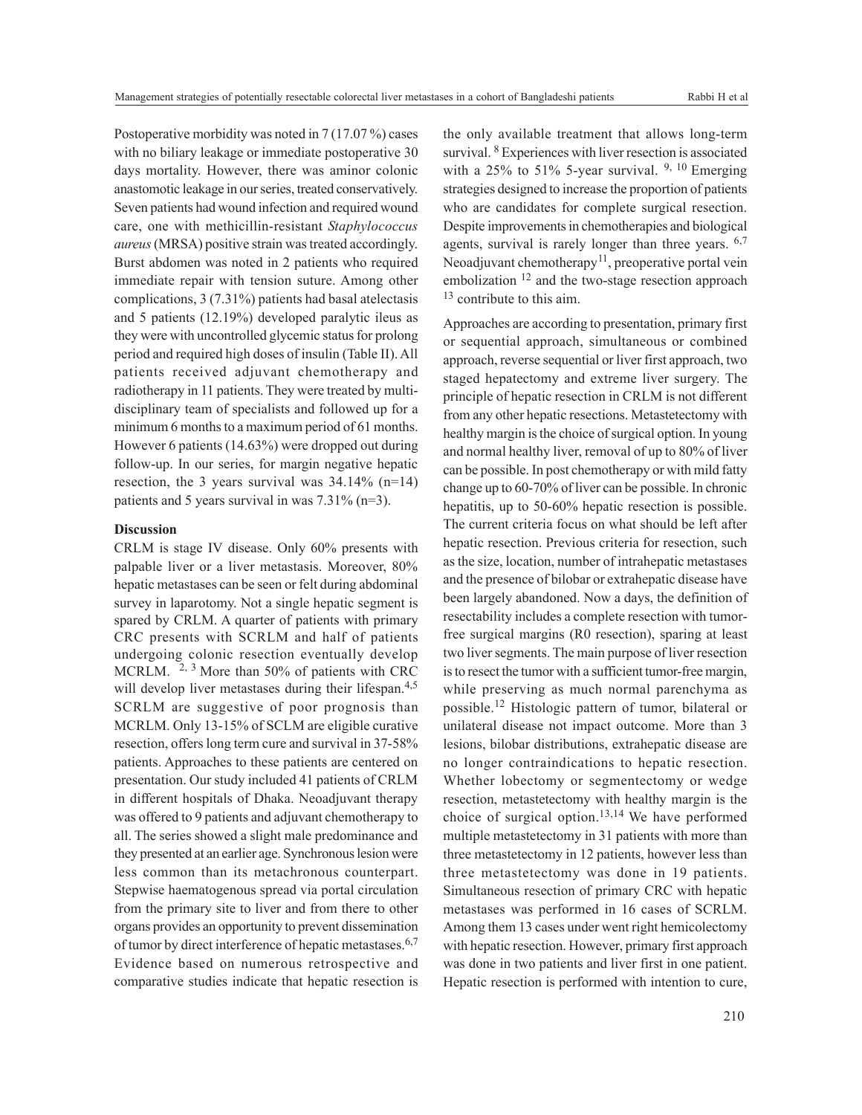Postoperative morbidity was noted in 7 (17.07 %) cases with no biliary leakage or immediate postoperative 30 days mortality. However, there was aminor colonic anastomotic leakage in our series, treated conservatively. Seven patients had wound infection and required wound care, one with methicillin-resistant *Staphylococcus aureus* (MRSA) positive strain was treated accordingly. Burst abdomen was noted in 2 patients who required immediate repair with tension suture. Among other complications, 3 (7.31%) patients had basal atelectasis and 5 patients (12.19%) developed paralytic ileus as they were with uncontrolled glycemic status for prolong period and required high doses of insulin (Table II). All patients received adjuvant chemotherapy and radiotherapy in 11 patients. They were treated by multidisciplinary team of specialists and followed up for a minimum 6 months to a maximum period of 61 months. However 6 patients (14.63%) were dropped out during follow-up. In our series, for margin negative hepatic resection, the 3 years survival was  $34.14\%$  (n=14) patients and 5 years survival in was 7.31% (n=3).

#### **Discussion**

CRLM is stage IV disease. Only 60% presents with palpable liver or a liver metastasis. Moreover, 80% hepatic metastases can be seen or felt during abdominal survey in laparotomy. Not a single hepatic segment is spared by CRLM. A quarter of patients with primary CRC presents with SCRLM and half of patients undergoing colonic resection eventually develop MCRLM. 2, 3 More than 50% of patients with CRC will develop liver metastases during their lifespan.<sup>4,5</sup> SCRLM are suggestive of poor prognosis than MCRLM. Only 13-15% of SCLM are eligible curative resection, offers long term cure and survival in 37-58% patients. Approaches to these patients are centered on presentation. Our study included 41 patients of CRLM in different hospitals of Dhaka. Neoadjuvant therapy was offered to 9 patients and adjuvant chemotherapy to all. The series showed a slight male predominance and they presented at an earlier age. Synchronous lesion were less common than its metachronous counterpart. Stepwise haematogenous spread via portal circulation from the primary site to liver and from there to other organs provides an opportunity to prevent dissemination of tumor by direct interference of hepatic metastases.<sup>6,7</sup> Evidence based on numerous retrospective and comparative studies indicate that hepatic resection is

the only available treatment that allows long-term survival. <sup>8</sup> Experiences with liver resection is associated with a 25% to 51% 5-year survival.  $9, 10$  Emerging strategies designed to increase the proportion of patients who are candidates for complete surgical resection. Despite improvements in chemotherapies and biological agents, survival is rarely longer than three years.  $6,7$ Neoadjuvant chemotherapy<sup>11</sup>, preoperative portal vein embolization  $12$  and the two-stage resection approach <sup>13</sup> contribute to this aim.

Approaches are according to presentation, primary first or sequential approach, simultaneous or combined approach, reverse sequential or liver first approach, two staged hepatectomy and extreme liver surgery. The principle of hepatic resection in CRLM is not different from any other hepatic resections. Metastetectomy with healthy margin is the choice of surgical option. In young and normal healthy liver, removal of up to 80% of liver can be possible. In post chemotherapy or with mild fatty change up to 60-70% of liver can be possible. In chronic hepatitis, up to 50-60% hepatic resection is possible. The current criteria focus on what should be left after hepatic resection. Previous criteria for resection, such as the size, location, number of intrahepatic metastases and the presence of bilobar or extrahepatic disease have been largely abandoned. Now a days, the definition of resectability includes a complete resection with tumorfree surgical margins (R0 resection), sparing at least two liver segments. The main purpose of liver resection is to resect the tumor with a sufficient tumor-free margin, while preserving as much normal parenchyma as possible.12 Histologic pattern of tumor, bilateral or unilateral disease not impact outcome. More than 3 lesions, bilobar distributions, extrahepatic disease are no longer contraindications to hepatic resection. Whether lobectomy or segmentectomy or wedge resection, metastetectomy with healthy margin is the choice of surgical option. $13,14$  We have performed multiple metastetectomy in 31 patients with more than three metastetectomy in 12 patients, however less than three metastetectomy was done in 19 patients. Simultaneous resection of primary CRC with hepatic metastases was performed in 16 cases of SCRLM. Among them 13 cases under went right hemicolectomy with hepatic resection. However, primary first approach was done in two patients and liver first in one patient. Hepatic resection is performed with intention to cure,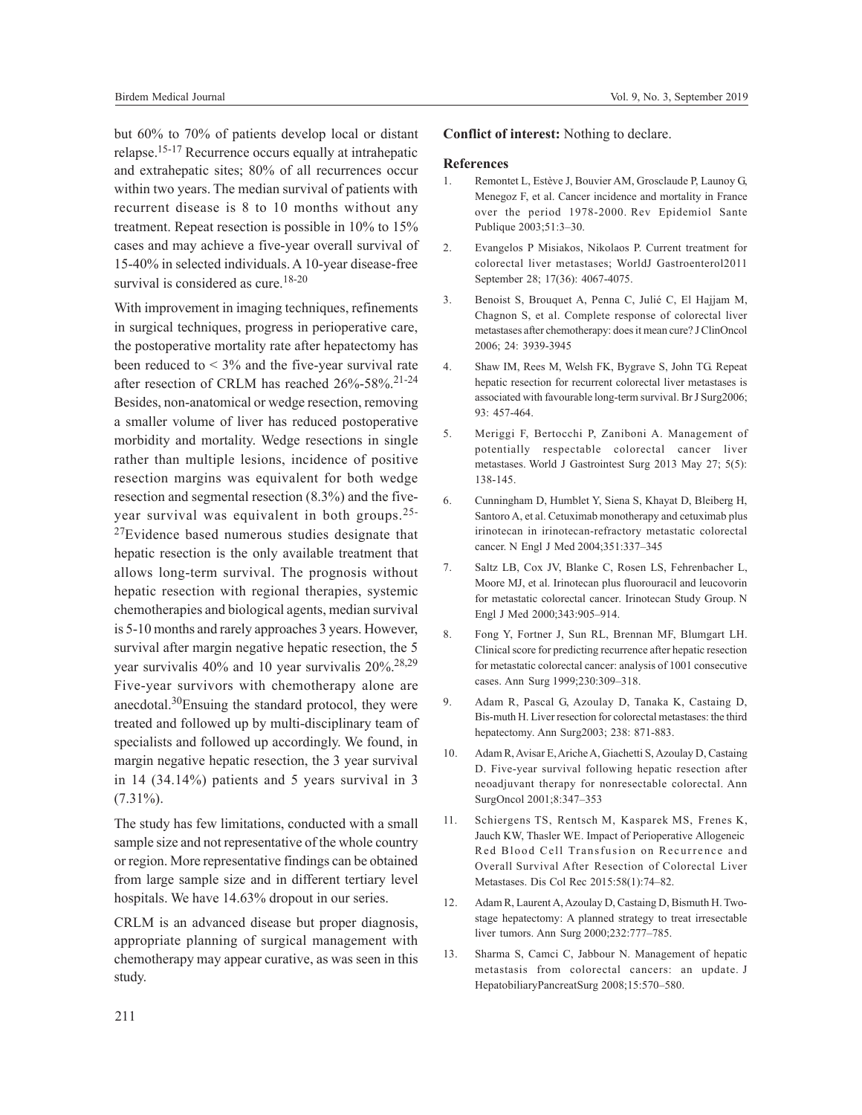but 60% to 70% of patients develop local or distant relapse.15-17 Recurrence occurs equally at intrahepatic and extrahepatic sites; 80% of all recurrences occur within two years. The median survival of patients with recurrent disease is 8 to 10 months without any treatment. Repeat resection is possible in 10% to 15% cases and may achieve a five-year overall survival of 15-40% in selected individuals. A 10-year disease-free survival is considered as cure.<sup>18-20</sup>

With improvement in imaging techniques, refinements in surgical techniques, progress in perioperative care, the postoperative mortality rate after hepatectomy has been reduced to  $<$  3% and the five-year survival rate after resection of CRLM has reached 26%-58%.<sup>21-24</sup> Besides, non-anatomical or wedge resection, removing a smaller volume of liver has reduced postoperative morbidity and mortality. Wedge resections in single rather than multiple lesions, incidence of positive resection margins was equivalent for both wedge resection and segmental resection (8.3%) and the fiveyear survival was equivalent in both groups.25-

<sup>27</sup>Evidence based numerous studies designate that hepatic resection is the only available treatment that allows long-term survival. The prognosis without hepatic resection with regional therapies, systemic chemotherapies and biological agents, median survival is 5-10 months and rarely approaches 3 years. However, survival after margin negative hepatic resection, the 5 year survivalis 40% and 10 year survivalis 20%.28,29 Five-year survivors with chemotherapy alone are anecdotal.30Ensuing the standard protocol, they were treated and followed up by multi-disciplinary team of specialists and followed up accordingly. We found, in margin negative hepatic resection, the 3 year survival in 14 (34.14%) patients and 5 years survival in 3  $(7.31\%)$ .

The study has few limitations, conducted with a small sample size and not representative of the whole country or region. More representative findings can be obtained from large sample size and in different tertiary level hospitals. We have 14.63% dropout in our series.

CRLM is an advanced disease but proper diagnosis, appropriate planning of surgical management with chemotherapy may appear curative, as was seen in this study.

## **Conflict of interest:** Nothing to declare.

## **References**

- 1. Remontet L, Estève J, Bouvier AM, Grosclaude P, Launoy G, Menegoz F, et al. Cancer incidence and mortality in France over the period 1978-2000. Rev Epidemiol Sante Publique 2003;51:3–30.
- 2. Evangelos P Misiakos, Nikolaos P. Current treatment for colorectal liver metastases; WorldJ Gastroenterol2011 September 28; 17(36): 4067-4075.
- 3. Benoist S, Brouquet A, Penna C, Julié C, El Hajjam M, Chagnon S, et al. Complete response of colorectal liver metastases after chemotherapy: does it mean cure? J ClinOncol 2006; 24: 3939-3945
- 4. Shaw IM, Rees M, Welsh FK, Bygrave S, John TG. Repeat hepatic resection for recurrent colorectal liver metastases is associated with favourable long-term survival. Br J Surg2006; 93: 457-464.
- 5. Meriggi F, Bertocchi P, Zaniboni A. Management of potentially respectable colorectal cancer liver metastases. World J Gastrointest Surg 2013 May 27; 5(5): 138-145.
- 6. Cunningham D, Humblet Y, Siena S, Khayat D, Bleiberg H, Santoro A, et al. Cetuximab monotherapy and cetuximab plus irinotecan in irinotecan-refractory metastatic colorectal cancer. N Engl J Med 2004;351:337–345
- 7. Saltz LB, Cox JV, Blanke C, Rosen LS, Fehrenbacher L, Moore MJ, et al. Irinotecan plus fluorouracil and leucovorin for metastatic colorectal cancer. Irinotecan Study Group. N Engl J Med 2000;343:905–914.
- 8. Fong Y, Fortner J, Sun RL, Brennan MF, Blumgart LH. Clinical score for predicting recurrence after hepatic resection for metastatic colorectal cancer: analysis of 1001 consecutive cases. Ann Surg 1999;230:309–318.
- 9. Adam R, Pascal G, Azoulay D, Tanaka K, Castaing D, Bis-muth H. Liver resection for colorectal metastases: the third hepatectomy. Ann Surg2003; 238: 871-883.
- 10. Adam R, Avisar E, Ariche A, Giachetti S, Azoulay D, Castaing D. Five-year survival following hepatic resection after neoadjuvant therapy for nonresectable colorectal. Ann SurgOncol 2001;8:347–353
- 11. Schiergens TS, Rentsch M, Kasparek MS, Frenes K, Jauch KW, Thasler WE. Impact of Perioperative Allogeneic Red Blood Cell Transfusion on Recurrence and Overall Survival After Resection of Colorectal Liver Metastases. Dis Col Rec 2015:58(1):74–82.
- 12. Adam R, Laurent A, Azoulay D, Castaing D, Bismuth H. Twostage hepatectomy: A planned strategy to treat irresectable liver tumors. Ann Surg 2000;232:777–785.
- 13. Sharma S, Camci C, Jabbour N. Management of hepatic metastasis from colorectal cancers: an update. J HepatobiliaryPancreatSurg 2008;15:570–580.